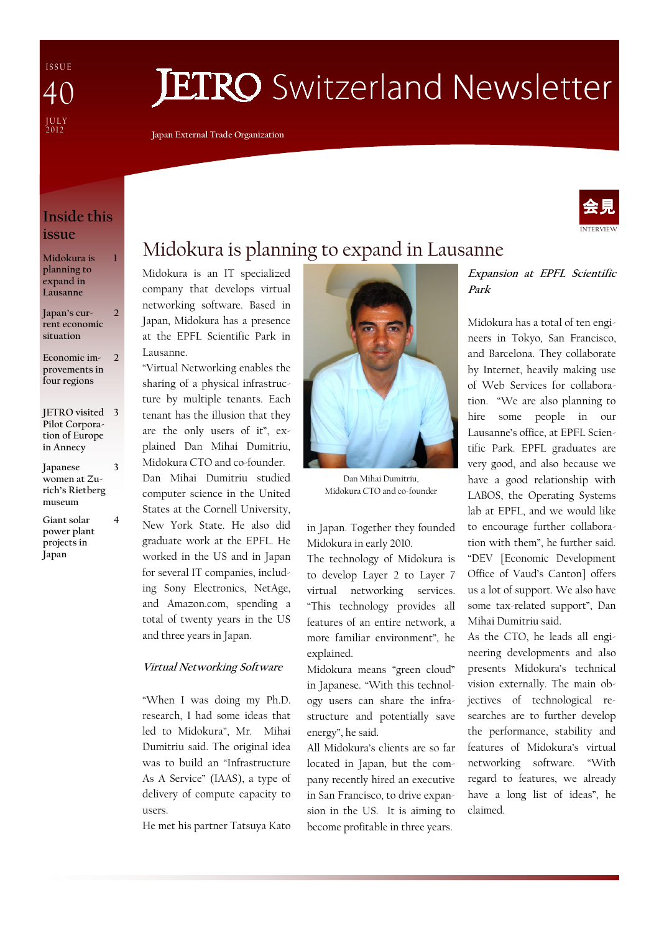I S S U E J U L Y<br>2012 40

# **JETRO** Switzerland Newsletter

Japan External Trade Organization

### Inside this issue

1

Midokura is planning to expand in Lausanne

Japan's current economic situation  $\overline{\phantom{a}}$ 

Economic improvements in four regions  $\overline{2}$ 

JETRO visited 3 Pilot Corporation of Europe in Annecy

- Japanese women at Zurich's Rietberg museum 3
- Giant solar power plant projects in Japan

4

## Midokura is planning to expand in Lausanne

Midokura is an IT specialized company that develops virtual networking software. Based in Japan, Midokura has a presence at the EPFL Scientific Park in Lausanne.

"Virtual Networking enables the sharing of a physical infrastructure by multiple tenants. Each tenant has the illusion that they are the only users of it", explained Dan Mihai Dumitriu, Midokura CTO and co-founder.

Dan Mihai Dumitriu studied computer science in the United States at the Cornell University, New York State. He also did graduate work at the EPFL. He worked in the US and in Japan for several IT companies, including Sony Electronics, NetAge, and Amazon.com, spending a total of twenty years in the US and three years in Japan.

### Virtual Networking Software

"When I was doing my Ph.D. research, I had some ideas that led to Midokura", Mr. Mihai Dumitriu said. The original idea was to build an "Infrastructure As A Service" (IAAS), a type of delivery of compute capacity to users.

He met his partner Tatsuya Kato



Dan Mihai Dumitriu, Midokura CTO and co-founder

in Japan. Together they founded Midokura in early 2010.

The technology of Midokura is to develop Layer 2 to Layer 7 virtual networking services. "This technology provides all features of an entire network, a more familiar environment", he explained.

Midokura means "green cloud" in Japanese. "With this technology users can share the infrastructure and potentially save energy", he said.

All Midokura's clients are so far located in Japan, but the company recently hired an executive in San Francisco, to drive expansion in the US. It is aiming to become profitable in three years.

Expansion at EPFL Scientific Park

Midokura has a total of ten engineers in Tokyo, San Francisco, and Barcelona. They collaborate by Internet, heavily making use of Web Services for collaboration. "We are also planning to hire some people in our Lausanne's office, at EPFL Scientific Park. EPFL graduates are very good, and also because we have a good relationship with LABOS, the Operating Systems lab at EPFL, and we would like to encourage further collaboration with them", he further said. "DEV [Economic Development Office of Vaud's Canton] offers us a lot of support. We also have some tax-related support", Dan Mihai Dumitriu said.

As the CTO, he leads all engineering developments and also presents Midokura's technical vision externally. The main objectives of technological researches are to further develop the performance, stability and features of Midokura's virtual networking software. "With regard to features, we already have a long list of ideas", he claimed.

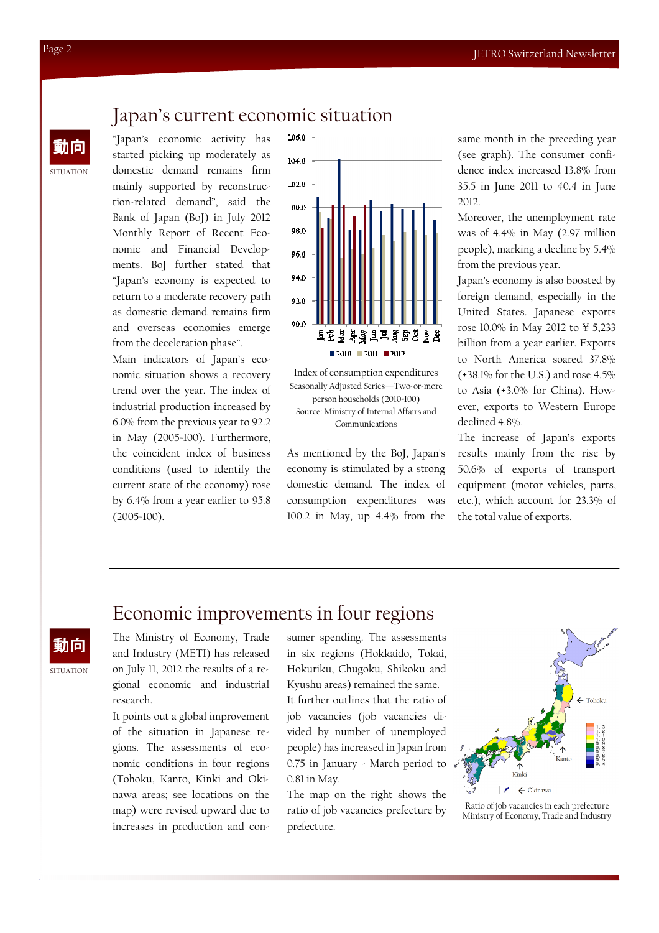## Japan's current economic situation

 $\frac{1}{2}$   $\frac{1}{2}$   $\frac{1}{2}$   $\frac{1}{2}$   $\frac{1}{2}$   $\frac{1}{2}$   $\frac{1}{2}$   $\frac{1}{2}$   $\frac{1}{2}$   $\frac{1}{2}$   $\frac{1}{2}$   $\frac{1}{2}$   $\frac{1}{2}$   $\frac{1}{2}$   $\frac{1}{2}$   $\frac{1}{2}$   $\frac{1}{2}$   $\frac{1}{2}$   $\frac{1}{2}$   $\frac{1}{2}$   $\frac{1}{2}$   $\frac{1}{2}$  started picking up moderately as domestic demand remains firm mainly supported by reconstruction-related demand", said the Bank of Japan (BoJ) in July 2012 Monthly Report of Recent Economic and Financial Developments. BoJ further stated that "Japan's economy is expected to return to a moderate recovery path as domestic demand remains firm and overseas economies emerge from the deceleration phase".

Main indicators of Japan's economic situation shows a recovery trend over the year. The index of industrial production increased by 6.0% from the previous year to 92.2 in May (2005=100). Furthermore, the coincident index of business conditions (used to identify the current state of the economy) rose by 6.4% from a year earlier to 95.8 (2005=100).



Index of consumption expenditures Seasonally Adjusted Series—Two-or-more person households (2010=100) Source: Ministry of Internal Affairs and Communications

As mentioned by the BoJ, Japan's economy is stimulated by a strong domestic demand. The index of consumption expenditures was 100.2 in May, up 4.4% from the (see graph). The consumer confidence index increased 13.8% from 35.5 in June 2011 to 40.4 in June 2012.

Moreover, the unemployment rate was of 4.4% in May (2.97 million people), marking a decline by 5.4% from the previous year.

Japan's economy is also boosted by foreign demand, especially in the United States. Japanese exports rose 10.0% in May 2012 to ¥ 5,233 billion from a year earlier. Exports to North America soared 37.8% (+38.1% for the U.S.) and rose 4.5% to Asia (+3.0% for China). However, exports to Western Europe declined 4.8%.

The increase of Japan's exports results mainly from the rise by 50.6% of exports of transport equipment (motor vehicles, parts, etc.), which account for 23.3% of the total value of exports.

## **SITUATION** 動向

## Economic improvements in four regions

The Ministry of Economy, Trade and Industry (METI) has released on July 11, 2012 the results of a regional economic and industrial research.

It points out a global improvement of the situation in Japanese regions. The assessments of economic conditions in four regions (Tohoku, Kanto, Kinki and Okinawa areas; see locations on the map) were revised upward due to increases in production and consumer spending. The assessments in six regions (Hokkaido, Tokai, Hokuriku, Chugoku, Shikoku and Kyushu areas) remained the same.

It further outlines that the ratio of job vacancies (job vacancies divided by number of unemployed people) has increased in Japan from 0.75 in January - March period to 0.81 in May.

The map on the right shows the ratio of job vacancies prefecture by prefecture.



Ratio of job vacancies in each prefecture Ministry of Economy, Trade and Industry

SITUATION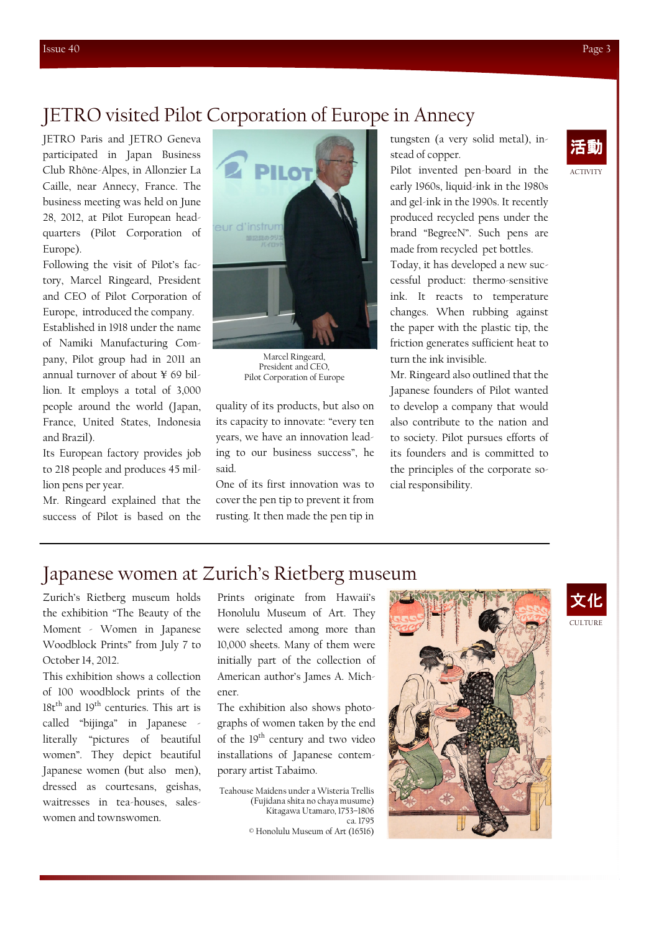## JETRO visited Pilot Corporation of Europe in Annecy

participated in Japan Business Club Rhône-Alpes, in Allonzier La Caille, near Annecy, France. The business meeting was held on June 28, 2012, at Pilot European headquarters (Pilot Corporation of Europe).

Following the visit of Pilot's factory, Marcel Ringeard, President and CEO of Pilot Corporation of Europe, introduced the company.

Established in 1918 under the name of Namiki Manufacturing Company, Pilot group had in 2011 an annual turnover of about ¥ 69 billion. It employs a total of 3,000 people around the world (Japan, France, United States, Indonesia and Brazil).

Its European factory provides job to 218 people and produces 45 million pens per year.

Mr. Ringeard explained that the success of Pilot is based on the



Marcel Ringeard, President and CEO, Pilot Corporation of Europe

quality of its products, but also on its capacity to innovate: "every ten years, we have an innovation leading to our business success", he said.

One of its first innovation was to cover the pen tip to prevent it from rusting. It then made the pen tip in stead of copper.

Pilot invented pen-board in the early 1960s, liquid-ink in the 1980s and gel-ink in the 1990s. It recently produced recycled pens under the brand "BegreeN". Such pens are made from recycled pet bottles.

Today, it has developed a new successful product: thermo-sensitive ink. It reacts to temperature changes. When rubbing against the paper with the plastic tip, the friction generates sufficient heat to turn the ink invisible.

Mr. Ringeard also outlined that the Japanese founders of Pilot wanted to develop a company that would also contribute to the nation and to society. Pilot pursues efforts of its founders and is committed to the principles of the corporate social responsibility.

## ACTIVITY

## Japanese women at Zurich's Rietberg museum

Zurich's Rietberg museum holds the exhibition "The Beauty of the Moment - Women in Japanese Woodblock Prints" from July 7 to October 14, 2012.

This exhibition shows a collection of 100 woodblock prints of the 18t<sup>th</sup> and 19<sup>th</sup> centuries. This art is called "bijinga" in Japanese literally "pictures of beautiful women". They depict beautiful Japanese women (but also men), dressed as courtesans, geishas, waitresses in tea-houses, saleswomen and townswomen.

Prints originate from Hawaii's Honolulu Museum of Art. They were selected among more than 10,000 sheets. Many of them were initially part of the collection of American author's James A. Michener.

The exhibition also shows photographs of women taken by the end of the 19<sup>th</sup> century and two video installations of Japanese contemporary artist Tabaimo.

Teahouse Maidens under a Wisteria Trellis (Fujidana shita no chaya musume) Kitagawa Utamaro, 1753–1806 ca. 1795 © Honolulu Museum of Art (16516)